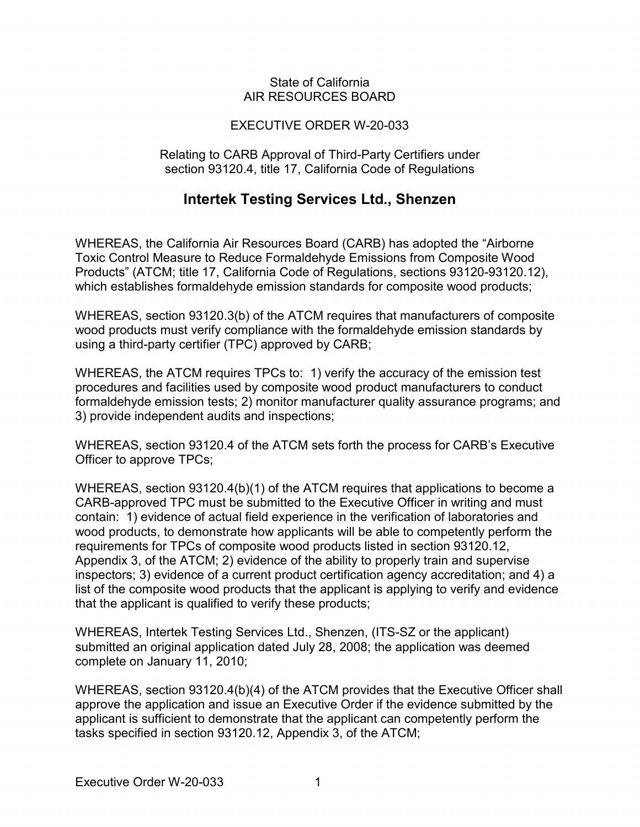#### State of California AIR RESOURCES BOARD

### EXECUTIVE ORDER W-20-033

#### Relating to CARB Approval of Third-Party Certifiers under section 93120.4, title 17, California Code of Regulations

## **Intertek Testing Services Ltd., Shenzen**

 which establishes formaldehyde emission standards for composite wood products; WHEREAS, the California Air Resources Board (CARB) has adopted the "Airborne Toxic Control Measure to Reduce Formaldehyde Emissions from Composite Wood Products" (ATCM; title 17, California Code of Regulations, sections 93120-93120.12),

 using a third-party certifier (TPC) approved by CARB; WHEREAS, section 93120.3(b) of the ATCM requires that manufacturers of composite wood products must verify compliance with the formaldehyde emission standards by

 WHEREAS, the ATCM requires TPCs to: 1) verify the accuracy of the emission test procedures and facilities used by composite wood product manufacturers to conduct formaldehyde emission tests; 2) monitor manufacturer quality assurance programs; and 3) provide independent audits and inspections;

 WHEREAS, section 93120.4 of the ATCM sets forth the process for CARB's Executive Officer to approve TPCs;

 CARB-approved TPC must be submitted to the Executive Officer in writing and must contain: 1) evidence of actual field experience in the verification of laboratories and that the applicant is qualified to verify these products; WHEREAS, section 93120.4(b)(1) of the ATCM requires that applications to become a wood products, to demonstrate how applicants will be able to competently perform the requirements for TPCs of composite wood products listed in section 93120.12, Appendix 3, of the ATCM; 2) evidence of the ability to properly train and supervise inspectors; 3) evidence of a current product certification agency accreditation; and 4) a list of the composite wood products that the applicant is applying to verify and evidence

 submitted an original application dated July 28, 2008; the application was deemed complete on January 11, 2010; WHEREAS, Intertek Testing Services Ltd., Shenzen, (ITS-SZ or the applicant)

 tasks specified in section 93120.12, Appendix 3, of the ATCM; WHEREAS, section 93120.4(b)(4) of the ATCM provides that the Executive Officer shall approve the application and issue an Executive Order if the evidence submitted by the applicant is sufficient to demonstrate that the applicant can competently perform the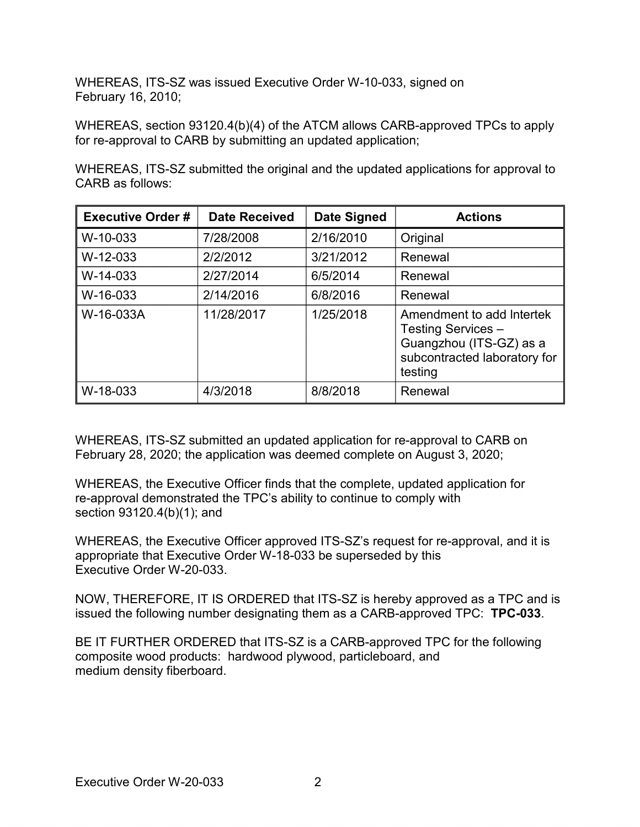WHEREAS, ITS-SZ was issued Executive Order W-10-033, signed on February 16, 2010;

 WHEREAS, section 93120.4(b)(4) of the ATCM allows CARB-approved TPCs to apply for re-approval to CARB by submitting an updated application;

WHEREAS, ITS-SZ submitted the original and the updated applications for approval to CARB as follows:

| <b>Executive Order#</b> | <b>Date Received</b> | <b>Date Signed</b> | <b>Actions</b>                                                                                                        |
|-------------------------|----------------------|--------------------|-----------------------------------------------------------------------------------------------------------------------|
| W-10-033                | 7/28/2008            | 2/16/2010          | Original                                                                                                              |
| W-12-033                | 2/2/2012             | 3/21/2012          | Renewal                                                                                                               |
| W-14-033                | 2/27/2014            | 6/5/2014           | Renewal                                                                                                               |
| W-16-033                | 2/14/2016            | 6/8/2016           | Renewal                                                                                                               |
| W-16-033A               | 11/28/2017           | 1/25/2018          | Amendment to add Intertek<br>Testing Services -<br>Guangzhou (ITS-GZ) as a<br>subcontracted laboratory for<br>testing |
| W-18-033                | 4/3/2018             | 8/8/2018           | Renewal                                                                                                               |

 February 28, 2020; the application was deemed complete on August 3, 2020; WHEREAS, ITS-SZ submitted an updated application for re-approval to CARB on

 section 93120.4(b)(1); and WHEREAS, the Executive Officer finds that the complete, updated application for re-approval demonstrated the TPC's ability to continue to comply with

 appropriate that Executive Order W-18-033 be superseded by this Executive Order W-20-033. WHEREAS, the Executive Officer approved ITS-SZ's request for re-approval, and it is

 NOW, THEREFORE, IT IS ORDERED that ITS-SZ is hereby approved as a TPC and is issued the following number designating them as a CARB-approved TPC: **TPC-033**.

 BE IT FURTHER ORDERED that ITS-SZ is a CARB-approved TPC for the following composite wood products: hardwood plywood, particleboard, and medium density fiberboard. medium density fiberboard.<br>Executive Order W-20-033 2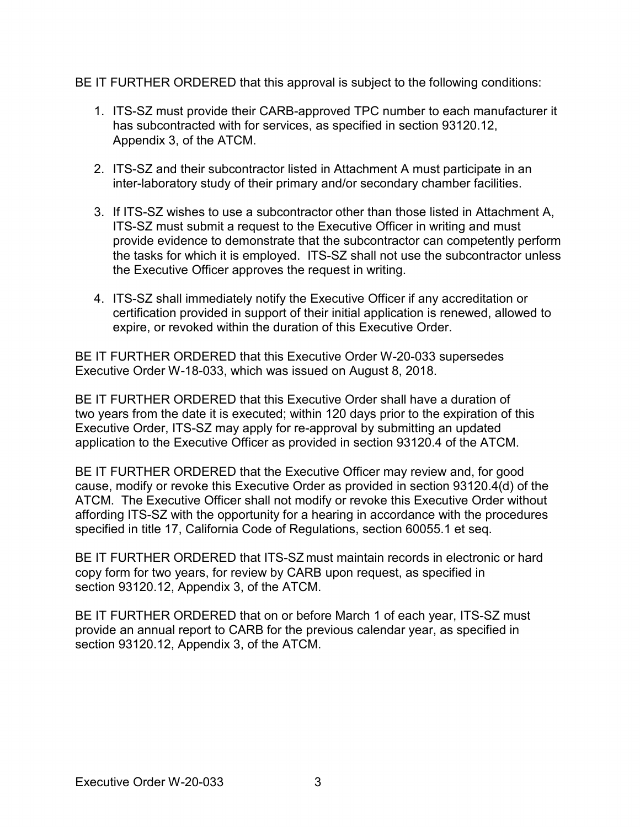BE IT FURTHER ORDERED that this approval is subject to the following conditions:

- 1. ITS-SZ must provide their CARB-approved TPC number to each manufacturer it Appendix 3, of the ATCM. has subcontracted with for services, as specified in section [93120.12,](https://93120.12)
- 2. ITS-SZ and their subcontractor listed in Attachment A must participate in an inter-laboratory study of their primary and/or secondary chamber facilities.
- 3. If ITS-SZ wishes to use a subcontractor other than those listed in Attachment A, the tasks for which it is employed. ITS-SZ shall not use the subcontractor unless the Executive Officer approves the request in writing. ITS-SZ must submit a request to the Executive Officer in writing and must provide evidence to demonstrate that the subcontractor can competently perform
- 4. ITS-SZ shall immediately notify the Executive Officer if any accreditation or expire, or revoked within the duration of this Executive Order. certification provided in support of their initial application is renewed, allowed to

 BE IT FURTHER ORDERED that this Executive Order W-20-033 supersedes Executive Order W-18-033, which was issued on August 8, 2018.

 application to the Executive Officer as provided in section 93120.4 of the ATCM. BE IT FURTHER ORDERED that this Executive Order shall have a duration of two years from the date it is executed; within 120 days prior to the expiration of this Executive Order, ITS-SZ may apply for re-approval by submitting an updated

 BE IT FURTHER ORDERED that the Executive Officer may review and, for good ATCM. The Executive Officer shall not modify or revoke this Executive Order without specified in title 17, California Code of Regulations, section 60055.1 et seq. cause, modify or revoke this Executive Order as provided in section 93120.4(d) of the affording ITS-SZ with the opportunity for a hearing in accordance with the procedures

 copy form for two years, for review by CARB upon request, as specified in section [93120.12,](https://93120.12) Appendix 3, of the ATCM. BE IT FURTHER ORDERED that ITS-SZ must maintain records in electronic or hard

 BE IT FURTHER ORDERED that on or before March 1 of each year, ITS-SZ must section [93120.12,](https://93120.12) Appendix 3, of the ATCM. provide an annual report to CARB for the previous calendar year, as specified in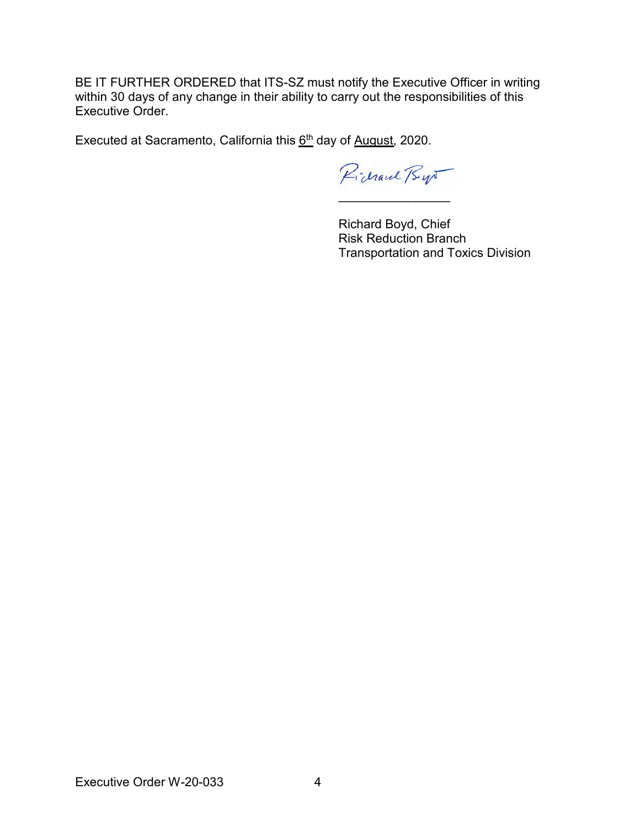BE IT FURTHER ORDERED that ITS-SZ must notify the Executive Officer in writing within 30 days of any change in their ability to carry out the responsibilities of this Executive Order.

Executed at Sacramento, California this  $6<sup>th</sup>$  day of August, 2020.

Pichard Bys \_\_\_\_\_\_\_\_\_\_\_\_\_\_\_\_

Richard Boyd, Chief Risk Reduction Branch Transportation and Toxics Division